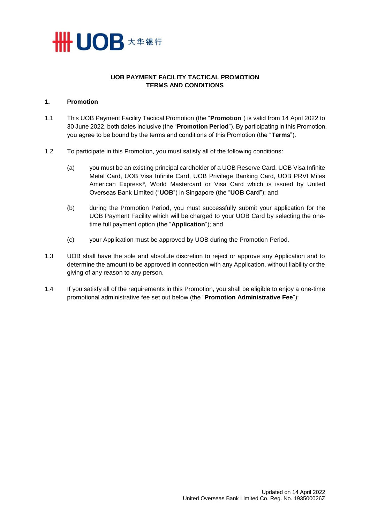

# **UOB PAYMENT FACILITY TACTICAL PROMOTION TERMS AND CONDITIONS**

### **1. Promotion**

- 1.1 This UOB Payment Facility Tactical Promotion (the "**Promotion**") is valid from 14 April 2022 to 30 June 2022, both dates inclusive (the "**Promotion Period**"). By participating in this Promotion, you agree to be bound by the terms and conditions of this Promotion (the "**Terms**").
- 1.2 To participate in this Promotion, you must satisfy all of the following conditions:
	- (a) you must be an existing principal cardholder of a UOB Reserve Card, UOB Visa Infinite Metal Card, UOB Visa Infinite Card, UOB Privilege Banking Card, UOB PRVI Miles American Express®, World Mastercard or Visa Card which is issued by United Overseas Bank Limited ("**UOB**") in Singapore (the "**UOB Card**"); and
	- (b) during the Promotion Period, you must successfully submit your application for the UOB Payment Facility which will be charged to your UOB Card by selecting the onetime full payment option (the "**Application**"); and
	- (c) your Application must be approved by UOB during the Promotion Period.
- 1.3 UOB shall have the sole and absolute discretion to reject or approve any Application and to determine the amount to be approved in connection with any Application, without liability or the giving of any reason to any person.
- 1.4 If you satisfy all of the requirements in this Promotion, you shall be eligible to enjoy a one-time promotional administrative fee set out below (the "**Promotion Administrative Fee**"):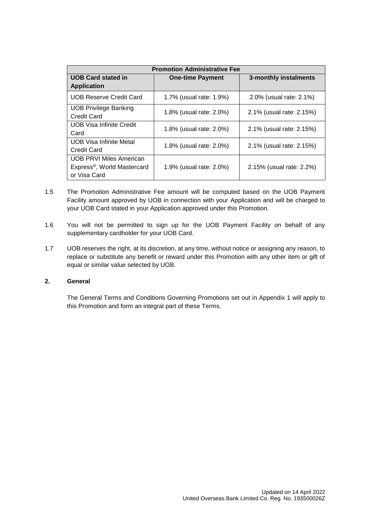| <b>Promotion Administrative Fee</b>                                          |                         |                          |
|------------------------------------------------------------------------------|-------------------------|--------------------------|
| <b>UOB Card stated in</b><br><b>Application</b>                              | <b>One-time Payment</b> | 3-monthly instalments    |
| <b>UOB Reserve Credit Card</b>                                               | 1.7% (usual rate: 1.9%) | 2.0% (usual rate: 2.1%)  |
| <b>UOB Privilege Banking</b><br>Credit Card                                  | 1.8% (usual rate: 2.0%) | 2.1% (usual rate: 2.15%) |
| <b>UOB Visa Infinite Credit</b><br>Card                                      | 1.8% (usual rate: 2.0%) | 2.1% (usual rate: 2.15%) |
| <b>UOB Visa Infinite Metal</b><br>Credit Card                                | 1.8% (usual rate: 2.0%) | 2.1% (usual rate: 2.15%) |
| <b>UOB PRVI Miles American</b><br>Express®, World Mastercard<br>or Visa Card | 1.9% (usual rate: 2.0%) | 2.15% (usual rate: 2.2%) |

- 1.5 The Promotion Administrative Fee amount will be computed based on the UOB Payment Facility amount approved by UOB in connection with your Application and will be charged to your UOB Card stated in your Application approved under this Promotion.
- 1.6 You will not be permitted to sign up for the UOB Payment Facility on behalf of any supplementary cardholder for your UOB Card.
- 1.7 UOB reserves the right, at its discretion, at any time, without notice or assigning any reason, to replace or substitute any benefit or reward under this Promotion with any other item or gift of equal or similar value selected by UOB.

## **2. General**

The General Terms and Conditions Governing Promotions set out in Appendix 1 will apply to this Promotion and form an integral part of these Terms.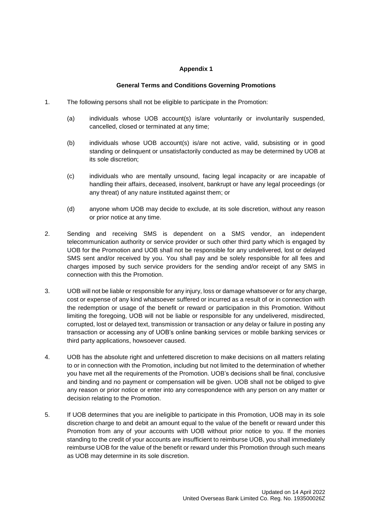## **Appendix 1**

## **General Terms and Conditions Governing Promotions**

- 1. The following persons shall not be eligible to participate in the Promotion:
	- (a) individuals whose UOB account(s) is/are voluntarily or involuntarily suspended, cancelled, closed or terminated at any time;
	- (b) individuals whose UOB account(s) is/are not active, valid, subsisting or in good standing or delinquent or unsatisfactorily conducted as may be determined by UOB at its sole discretion;
	- (c) individuals who are mentally unsound, facing legal incapacity or are incapable of handling their affairs, deceased, insolvent, bankrupt or have any legal proceedings (or any threat) of any nature instituted against them; or
	- (d) anyone whom UOB may decide to exclude, at its sole discretion, without any reason or prior notice at any time.
- 2. Sending and receiving SMS is dependent on a SMS vendor, an independent telecommunication authority or service provider or such other third party which is engaged by UOB for the Promotion and UOB shall not be responsible for any undelivered, lost or delayed SMS sent and/or received by you. You shall pay and be solely responsible for all fees and charges imposed by such service providers for the sending and/or receipt of any SMS in connection with this the Promotion.
- 3. UOB will not be liable or responsible for any injury, loss or damage whatsoever or for any charge, cost or expense of any kind whatsoever suffered or incurred as a result of or in connection with the redemption or usage of the benefit or reward or participation in this Promotion. Without limiting the foregoing, UOB will not be liable or responsible for any undelivered, misdirected, corrupted, lost or delayed text, transmission or transaction or any delay or failure in posting any transaction or accessing any of UOB's online banking services or mobile banking services or third party applications, howsoever caused.
- 4. UOB has the absolute right and unfettered discretion to make decisions on all matters relating to or in connection with the Promotion, including but not limited to the determination of whether you have met all the requirements of the Promotion. UOB's decisions shall be final, conclusive and binding and no payment or compensation will be given. UOB shall not be obliged to give any reason or prior notice or enter into any correspondence with any person on any matter or decision relating to the Promotion.
- 5. If UOB determines that you are ineligible to participate in this Promotion, UOB may in its sole discretion charge to and debit an amount equal to the value of the benefit or reward under this Promotion from any of your accounts with UOB without prior notice to you. If the monies standing to the credit of your accounts are insufficient to reimburse UOB, you shall immediately reimburse UOB for the value of the benefit or reward under this Promotion through such means as UOB may determine in its sole discretion.